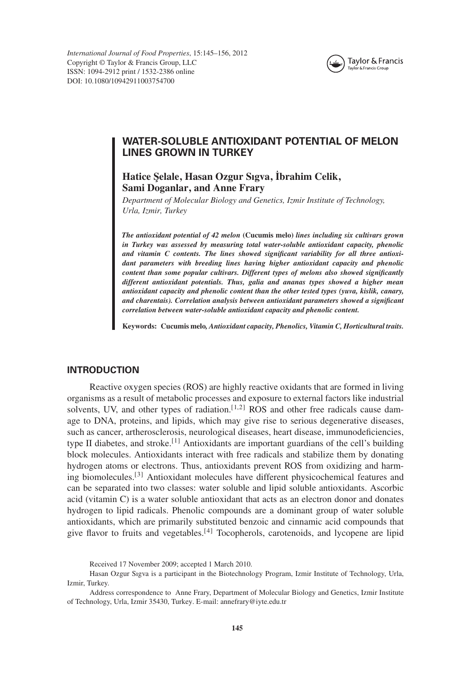*International Journal of Food Properties*, 15:145–156, 2012 Copyright © Taylor & Francis Group, LLC ISSN: 1094-2912 print / 1532-2386 online DOI: 10.1080/10942911003754700



# **WATER-SOLUBLE ANTIOXIDANT POTENTIAL OF MELON LINES GROWN IN TURKEY**

# **Hatice ¸Selale, Hasan Ozgur Sıgva, ˙ Ibrahim Celik, Sami Doganlar, and Anne Frary**

*Department of Molecular Biology and Genetics, Izmir Institute of Technology, Urla, Izmir, Turkey*

*The antioxidant potential of 42 melon* **(Cucumis melo)** *lines including six cultivars grown in Turkey was assessed by measuring total water-soluble antioxidant capacity, phenolic and vitamin C contents. The lines showed significant variability for all three antioxidant parameters with breeding lines having higher antioxidant capacity and phenolic content than some popular cultivars. Different types of melons also showed significantly different antioxidant potentials. Thus, galia and ananas types showed a higher mean antioxidant capacity and phenolic content than the other tested types (yuva, kislik, canary, and charentais). Correlation analysis between antioxidant parameters showed a significant correlation between water-soluble antioxidant capacity and phenolic content.*

**Keywords: Cucumis melo***, Antioxidant capacity, Phenolics, Vitamin C, Horticultural traits.*

#### **INTRODUCTION**

Reactive oxygen species (ROS) are highly reactive oxidants that are formed in living organisms as a result of metabolic processes and exposure to external factors like industrial solvents, UV, and other types of radiation.<sup>[1,2]</sup> ROS and other free radicals cause damage to DNA, proteins, and lipids, which may give rise to serious degenerative diseases, such as cancer, artherosclerosis, neurological diseases, heart disease, immunodeficiencies, type II diabetes, and stroke.<sup>[1]</sup> Antioxidants are important guardians of the cell's building block molecules. Antioxidants interact with free radicals and stabilize them by donating hydrogen atoms or electrons. Thus, antioxidants prevent ROS from oxidizing and harming biomolecules.[3] Antioxidant molecules have different physicochemical features and can be separated into two classes: water soluble and lipid soluble antioxidants. Ascorbic acid (vitamin C) is a water soluble antioxidant that acts as an electron donor and donates hydrogen to lipid radicals. Phenolic compounds are a dominant group of water soluble antioxidants, which are primarily substituted benzoic and cinnamic acid compounds that give flavor to fruits and vegetables. $[4]$  Tocopherols, carotenoids, and lycopene are lipid

Received 17 November 2009; accepted 1 March 2010.

Hasan Ozgur Sıgva is a participant in the Biotechnology Program, Izmir Institute of Technology, Urla, Izmir, Turkey.

Address correspondence to Anne Frary, Department of Molecular Biology and Genetics, Izmir Institute of Technology, Urla, Izmir 35430, Turkey. E-mail: annefrary@iyte.edu.tr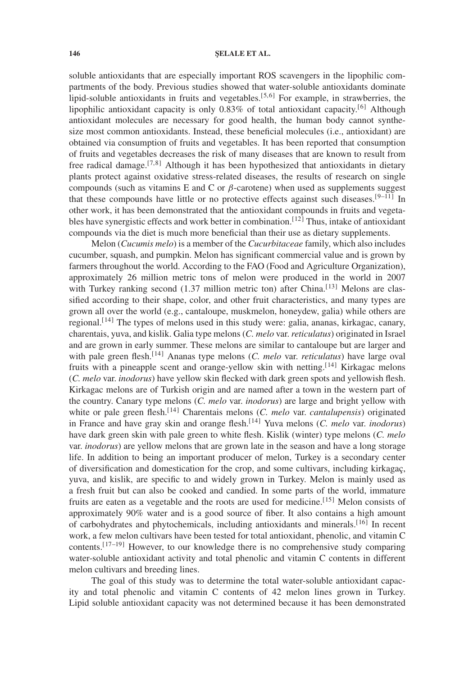soluble antioxidants that are especially important ROS scavengers in the lipophilic compartments of the body. Previous studies showed that water-soluble antioxidants dominate lipid-soluble antioxidants in fruits and vegetables.<sup>[5,6]</sup> For example, in strawberries, the lipophilic antioxidant capacity is only  $0.83\%$  of total antioxidant capacity.<sup>[6]</sup> Although antioxidant molecules are necessary for good health, the human body cannot synthesize most common antioxidants. Instead, these beneficial molecules (i.e., antioxidant) are obtained via consumption of fruits and vegetables. It has been reported that consumption of fruits and vegetables decreases the risk of many diseases that are known to result from free radical damage.<sup>[7,8]</sup> Although it has been hypothesized that antioxidants in dietary plants protect against oxidative stress-related diseases, the results of research on single compounds (such as vitamins E and C or  $\beta$ -carotene) when used as supplements suggest that these compounds have little or no protective effects against such diseases.<sup>[9–11]</sup> In other work, it has been demonstrated that the antioxidant compounds in fruits and vegetables have synergistic effects and work better in combination.<sup>[12]</sup> Thus, intake of antioxidant compounds via the diet is much more beneficial than their use as dietary supplements.

Melon (*Cucumis melo*) is a member of the *Cucurbitaceae* family, which also includes cucumber, squash, and pumpkin. Melon has significant commercial value and is grown by farmers throughout the world. According to the FAO (Food and Agriculture Organization), approximately 26 million metric tons of melon were produced in the world in 2007 with Turkey ranking second  $(1.37 \text{ million metric ton})$  after China.<sup>[13]</sup> Melons are classified according to their shape, color, and other fruit characteristics, and many types are grown all over the world (e.g., cantaloupe, muskmelon, honeydew, galia) while others are regional.[14] The types of melons used in this study were: galia, ananas, kirkagac, canary, charentais, yuva, and kislik. Galia type melons (*C. melo* var. *reticulatus*) originated in Israel and are grown in early summer. These melons are similar to cantaloupe but are larger and with pale green flesh.[14] Ananas type melons (*C. melo* var. *reticulatus*) have large oval fruits with a pineapple scent and orange-yellow skin with netting.<sup>[14]</sup> Kirkagac melons (*C. melo* var. *inodorus*) have yellow skin flecked with dark green spots and yellowish flesh. Kirkagac melons are of Turkish origin and are named after a town in the western part of the country. Canary type melons (*C. melo* var. *inodorus*) are large and bright yellow with white or pale green flesh.[14] Charentais melons (*C. melo* var. *cantalupensis*) originated in France and have gray skin and orange flesh.[14] Yuva melons (*C. melo* var. *inodorus*) have dark green skin with pale green to white flesh. Kislik (winter) type melons (*C. melo* var. *inodorus*) are yellow melons that are grown late in the season and have a long storage life. In addition to being an important producer of melon, Turkey is a secondary center of diversification and domestication for the crop, and some cultivars, including kirkagaç, yuva, and kislik, are specific to and widely grown in Turkey. Melon is mainly used as a fresh fruit but can also be cooked and candied. In some parts of the world, immature fruits are eaten as a vegetable and the roots are used for medicine.[15] Melon consists of approximately 90% water and is a good source of fiber. It also contains a high amount of carbohydrates and phytochemicals, including antioxidants and minerals.[16] In recent work, a few melon cultivars have been tested for total antioxidant, phenolic, and vitamin C contents.[17–19] However, to our knowledge there is no comprehensive study comparing water-soluble antioxidant activity and total phenolic and vitamin C contents in different melon cultivars and breeding lines.

The goal of this study was to determine the total water-soluble antioxidant capacity and total phenolic and vitamin C contents of 42 melon lines grown in Turkey. Lipid soluble antioxidant capacity was not determined because it has been demonstrated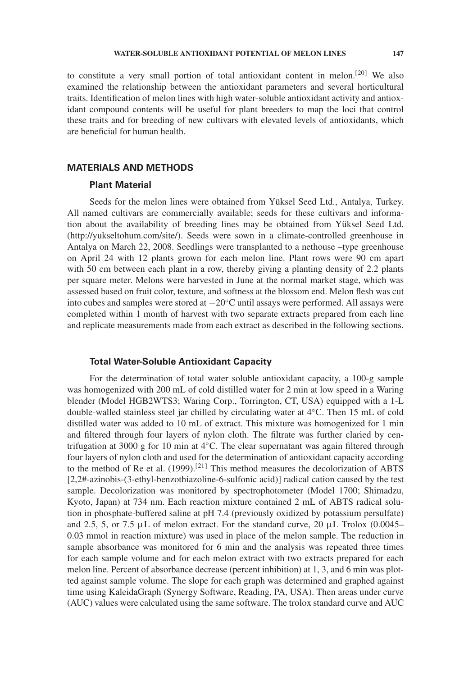to constitute a very small portion of total antioxidant content in melon.[20] We also examined the relationship between the antioxidant parameters and several horticultural traits. Identification of melon lines with high water-soluble antioxidant activity and antioxidant compound contents will be useful for plant breeders to map the loci that control these traits and for breeding of new cultivars with elevated levels of antioxidants, which are beneficial for human health.

### **MATERIALS AND METHODS**

### **Plant Material**

Seeds for the melon lines were obtained from Yüksel Seed Ltd., Antalya, Turkey. All named cultivars are commercially available; seeds for these cultivars and information about the availability of breeding lines may be obtained from Yüksel Seed Ltd. (http://yukseltohum.com/site/). Seeds were sown in a climate-controlled greenhouse in Antalya on March 22, 2008. Seedlings were transplanted to a nethouse –type greenhouse on April 24 with 12 plants grown for each melon line. Plant rows were 90 cm apart with 50 cm between each plant in a row, thereby giving a planting density of 2.2 plants per square meter. Melons were harvested in June at the normal market stage, which was assessed based on fruit color, texture, and softness at the blossom end. Melon flesh was cut into cubes and samples were stored at −20◦C until assays were performed. All assays were completed within 1 month of harvest with two separate extracts prepared from each line and replicate measurements made from each extract as described in the following sections.

# **Total Water-Soluble Antioxidant Capacity**

For the determination of total water soluble antioxidant capacity, a 100-g sample was homogenized with 200 mL of cold distilled water for 2 min at low speed in a Waring blender (Model HGB2WTS3; Waring Corp., Torrington, CT, USA) equipped with a 1-L double-walled stainless steel jar chilled by circulating water at 4◦C. Then 15 mL of cold distilled water was added to 10 mL of extract. This mixture was homogenized for 1 min and filtered through four layers of nylon cloth. The filtrate was further claried by centrifugation at 3000 g for 10 min at 4◦C. The clear supernatant was again filtered through four layers of nylon cloth and used for the determination of antioxidant capacity according to the method of Re et al.  $(1999)$ .<sup>[21]</sup> This method measures the decolorization of ABTS [2,2#-azinobis-(3-ethyl-benzothiazoline-6-sulfonic acid)] radical cation caused by the test sample. Decolorization was monitored by spectrophotometer (Model 1700; Shimadzu, Kyoto, Japan) at 734 nm. Each reaction mixture contained 2 mL of ABTS radical solution in phosphate-buffered saline at pH 7.4 (previously oxidized by potassium persulfate) and 2.5, 5, or 7.5  $\mu$ L of melon extract. For the standard curve, 20  $\mu$ L Trolox (0.0045– 0.03 mmol in reaction mixture) was used in place of the melon sample. The reduction in sample absorbance was monitored for 6 min and the analysis was repeated three times for each sample volume and for each melon extract with two extracts prepared for each melon line. Percent of absorbance decrease (percent inhibition) at 1, 3, and 6 min was plotted against sample volume. The slope for each graph was determined and graphed against time using KaleidaGraph (Synergy Software, Reading, PA, USA). Then areas under curve (AUC) values were calculated using the same software. The trolox standard curve and AUC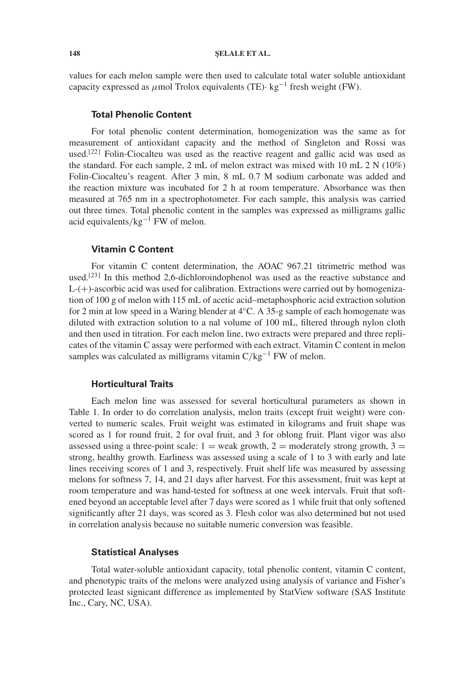values for each melon sample were then used to calculate total water soluble antioxidant capacity expressed as  $\mu$ mol Trolox equivalents (TE)· kg<sup>-1</sup> fresh weight (FW).

#### **Total Phenolic Content**

For total phenolic content determination, homogenization was the same as for measurement of antioxidant capacity and the method of Singleton and Rossi was used.[22] Folin-Ciocalteu was used as the reactive reagent and gallic acid was used as the standard. For each sample, 2 mL of melon extract was mixed with 10 mL 2 N (10%) Folin-Ciocalteu's reagent. After 3 min, 8 mL 0.7 M sodium carbonate was added and the reaction mixture was incubated for 2 h at room temperature. Absorbance was then measured at 765 nm in a spectrophotometer. For each sample, this analysis was carried out three times. Total phenolic content in the samples was expressed as milligrams gallic acid equivalents/ $kg^{-1}$  FW of melon.

### **Vitamin C Content**

For vitamin C content determination, the AOAC 967.21 titrimetric method was used.<sup>[23]</sup> In this method 2,6-dichloroindophenol was used as the reactive substance and L-(+)-ascorbic acid was used for calibration. Extractions were carried out by homogenization of 100 g of melon with 115 mL of acetic acid–metaphosphoric acid extraction solution for 2 min at low speed in a Waring blender at 4◦C. A 35-g sample of each homogenate was diluted with extraction solution to a nal volume of 100 mL, filtered through nylon cloth and then used in titration. For each melon line, two extracts were prepared and three replicates of the vitamin C assay were performed with each extract. Vitamin C content in melon samples was calculated as milligrams vitamin  $C/kg^{-1}$  FW of melon.

### **Horticultural Traits**

Each melon line was assessed for several horticultural parameters as shown in Table 1. In order to do correlation analysis, melon traits (except fruit weight) were converted to numeric scales. Fruit weight was estimated in kilograms and fruit shape was scored as 1 for round fruit, 2 for oval fruit, and 3 for oblong fruit. Plant vigor was also assessed using a three-point scale:  $1 =$  weak growth,  $2 =$  moderately strong growth,  $3 =$ strong, healthy growth. Earliness was assessed using a scale of 1 to 3 with early and late lines receiving scores of 1 and 3, respectively. Fruit shelf life was measured by assessing melons for softness 7, 14, and 21 days after harvest. For this assessment, fruit was kept at room temperature and was hand-tested for softness at one week intervals. Fruit that softened beyond an acceptable level after 7 days were scored as 1 while fruit that only softened significantly after 21 days, was scored as 3. Flesh color was also determined but not used in correlation analysis because no suitable numeric conversion was feasible.

#### **Statistical Analyses**

Total water-soluble antioxidant capacity, total phenolic content, vitamin C content, and phenotypic traits of the melons were analyzed using analysis of variance and Fisher's protected least signicant difference as implemented by StatView software (SAS Institute Inc., Cary, NC, USA).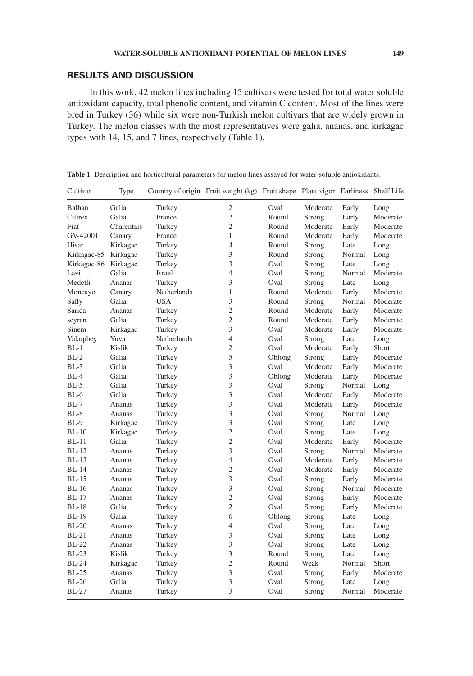## **RESULTS AND DISCUSSION**

In this work, 42 melon lines including 15 cultivars were tested for total water soluble antioxidant capacity, total phenolic content, and vitamin C content. Most of the lines were bred in Turkey (36) while six were non-Turkish melon cultivars that are widely grown in Turkey. The melon classes with the most representatives were galia, ananas, and kirkagac types with 14, 15, and 7 lines, respectively (Table 1).

| Galia<br>$\overline{c}$<br>Oval<br>Moderate<br>Balhan<br>Turkey<br>Early<br>Long<br>$\overline{c}$<br>Citirex<br>Galia<br>France<br>Round<br>Moderate<br>Strong<br>Early<br>$\overline{c}$<br>Fiat<br>Charentais<br>Turkey<br>Round<br>Moderate<br>Moderate<br>Early<br>$\mathbf{1}$<br>GV-42001<br>Canary<br>France<br>Round<br>Moderate<br>Early<br>Moderate<br>$\overline{4}$<br>Kirkagac<br>Hisar<br>Turkey<br>Round<br>Strong<br>Late<br>Long<br>3<br>Kirkagac-85<br>Kirkagac<br>Turkey<br>Round<br>Strong<br>Normal<br>Long<br>3<br>Kirkagac-86<br>Kirkagac<br>Turkey<br>Oval<br>Strong<br>Late<br>Long<br>$\overline{4}$<br>Galia<br>Lavi<br>Israel<br>Oval<br>Strong<br>Normal<br>Moderate<br>3<br>Medetli<br>Turkey<br>Ananas<br>Oval<br>Strong<br>Late<br>Long<br>Netherlands<br>$\mathbf{1}$<br>Moderate<br>Moderate<br>Moncayo<br>Canary<br>Round<br>Early<br>3<br><b>USA</b><br>Sally<br>Galia<br>Round<br>Normal<br>Moderate<br>Strong<br>$\overline{c}$<br>Sarica<br>Round<br>Ananas<br>Turkey<br>Moderate<br>Early<br>Moderate<br>$\overline{c}$<br>Galia<br>Turkey<br>Round<br>Moderate<br>Moderate<br>seyran<br>Early<br>3<br>Sinem<br>Kirkagac<br>Turkey<br>Oval<br>Moderate<br>Early<br>Moderate<br>$\overline{4}$<br>Netherlands<br>Yakupbey<br>Yuva<br>Oval<br>Strong<br>Late<br>Long<br>$\overline{2}$<br>$BL-1$<br>Kislik<br>Moderate<br>Short<br>Turkey<br>Oval<br>Early<br>5<br>$BL-2$<br>Galia<br>Turkey<br>Oblong<br>Early<br>Moderate<br>Strong<br>$\overline{3}$<br>$BL-3$<br>Galia<br>Oval<br>Moderate<br>Moderate<br>Turkey<br>Early<br>3<br>$BL-4$<br>Galia<br>Moderate<br>Turkey<br>Oblong<br>Early<br>Moderate<br>3<br>$BL-5$<br>Galia<br>Turkey<br>Oval<br>Normal<br>Strong<br>Long<br>$\overline{3}$<br>Galia<br>Moderate<br>Moderate<br>$BL-6$<br>Turkey<br>Oval<br>Early<br>3<br>Moderate<br>Early<br>Moderate<br>$BL-7$<br>Ananas<br>Turkey<br>Oval<br>3<br>$BL-8$<br>Turkey<br>Oval<br>Normal<br>Ananas<br>Strong<br>Long<br>3<br>$BL-9$<br>Kirkagac<br>Turkey<br>Oval<br>Strong<br>Late<br>Long<br>$\overline{c}$<br>Kirkagac<br>$BL-10$<br>Turkey<br>Oval<br>Strong<br>Late<br>Long<br>$\overline{c}$<br>Galia<br>$BL-11$<br>Oval<br>Moderate<br>Moderate<br>Turkey<br>Early<br>3<br>$BL-12$<br>Turkey<br>Oval<br>Normal<br>Moderate<br>Ananas<br>Strong<br>$\overline{4}$<br>$BL-13$<br>Oval<br>Moderate<br>Early<br>Moderate<br>Ananas<br>Turkey<br>$\overline{c}$<br><b>BL-14</b><br>Turkey<br>Oval<br>Moderate<br>Early<br>Moderate<br>Ananas<br>3<br>$BL-15$<br>Ananas<br>Turkey<br>Oval<br>Strong<br>Early<br>Moderate<br>3<br>$BL-16$<br>Ananas<br>Turkey<br>Oval<br>Strong<br>Normal<br>Moderate<br>$\overline{c}$<br>$BL-17$<br>Turkey<br>Strong<br>Early<br>Moderate<br>Ananas<br>Oval<br>$\overline{c}$<br>Galia<br><b>BL-18</b><br>Turkey<br>Oval<br>Moderate<br>Strong<br>Early<br>6<br>Galia<br>BL-19<br>Turkey<br>Oblong<br>Strong<br>Late<br>Long<br>$\overline{4}$<br>$BL-20$<br>Ananas<br>Turkey<br>Oval<br>Strong<br>Late<br>Long<br>3<br>$BL-21$<br>Strong<br>Ananas<br>Turkey<br>Oval<br>Late<br>Long<br>3<br>$BL-22$<br>Ananas<br>Turkey<br>Oval<br>Strong<br>Late<br>Long<br>$\overline{3}$<br>$BL-23$<br>Kislik<br>Strong<br>Turkey<br>Round<br>Late<br>Long<br>$\overline{c}$<br><b>BL-24</b><br>Weak<br>Kirkagac<br>Turkey<br>Round<br>Normal<br>Short<br>3<br><b>BL-25</b><br>Moderate<br>Ananas<br>Turkey<br>Oval<br>Strong<br>Early<br>3<br><b>BL-26</b><br>Galia<br>Turkey<br>Oval<br>Strong<br>Late<br>Long | Cultivar     | Type   |        | Country of origin Fruit weight (kg) Fruit shape Plant vigor Earliness |      |        |        | Shelf Life |
|---------------------------------------------------------------------------------------------------------------------------------------------------------------------------------------------------------------------------------------------------------------------------------------------------------------------------------------------------------------------------------------------------------------------------------------------------------------------------------------------------------------------------------------------------------------------------------------------------------------------------------------------------------------------------------------------------------------------------------------------------------------------------------------------------------------------------------------------------------------------------------------------------------------------------------------------------------------------------------------------------------------------------------------------------------------------------------------------------------------------------------------------------------------------------------------------------------------------------------------------------------------------------------------------------------------------------------------------------------------------------------------------------------------------------------------------------------------------------------------------------------------------------------------------------------------------------------------------------------------------------------------------------------------------------------------------------------------------------------------------------------------------------------------------------------------------------------------------------------------------------------------------------------------------------------------------------------------------------------------------------------------------------------------------------------------------------------------------------------------------------------------------------------------------------------------------------------------------------------------------------------------------------------------------------------------------------------------------------------------------------------------------------------------------------------------------------------------------------------------------------------------------------------------------------------------------------------------------------------------------------------------------------------------------------------------------------------------------------------------------------------------------------------------------------------------------------------------------------------------------------------------------------------------------------------------------------------------------------------------------------------------------------------------------------------------------------------------------------------------------------------------------------------------------------------------------------------------------------------------------------------------------------------------------------------------------------------------------------------------------------------------------------------------------------------------------------------------------------------------|--------------|--------|--------|-----------------------------------------------------------------------|------|--------|--------|------------|
|                                                                                                                                                                                                                                                                                                                                                                                                                                                                                                                                                                                                                                                                                                                                                                                                                                                                                                                                                                                                                                                                                                                                                                                                                                                                                                                                                                                                                                                                                                                                                                                                                                                                                                                                                                                                                                                                                                                                                                                                                                                                                                                                                                                                                                                                                                                                                                                                                                                                                                                                                                                                                                                                                                                                                                                                                                                                                                                                                                                                                                                                                                                                                                                                                                                                                                                                                                                                                                                                                       |              |        |        |                                                                       |      |        |        |            |
|                                                                                                                                                                                                                                                                                                                                                                                                                                                                                                                                                                                                                                                                                                                                                                                                                                                                                                                                                                                                                                                                                                                                                                                                                                                                                                                                                                                                                                                                                                                                                                                                                                                                                                                                                                                                                                                                                                                                                                                                                                                                                                                                                                                                                                                                                                                                                                                                                                                                                                                                                                                                                                                                                                                                                                                                                                                                                                                                                                                                                                                                                                                                                                                                                                                                                                                                                                                                                                                                                       |              |        |        |                                                                       |      |        |        |            |
|                                                                                                                                                                                                                                                                                                                                                                                                                                                                                                                                                                                                                                                                                                                                                                                                                                                                                                                                                                                                                                                                                                                                                                                                                                                                                                                                                                                                                                                                                                                                                                                                                                                                                                                                                                                                                                                                                                                                                                                                                                                                                                                                                                                                                                                                                                                                                                                                                                                                                                                                                                                                                                                                                                                                                                                                                                                                                                                                                                                                                                                                                                                                                                                                                                                                                                                                                                                                                                                                                       |              |        |        |                                                                       |      |        |        |            |
|                                                                                                                                                                                                                                                                                                                                                                                                                                                                                                                                                                                                                                                                                                                                                                                                                                                                                                                                                                                                                                                                                                                                                                                                                                                                                                                                                                                                                                                                                                                                                                                                                                                                                                                                                                                                                                                                                                                                                                                                                                                                                                                                                                                                                                                                                                                                                                                                                                                                                                                                                                                                                                                                                                                                                                                                                                                                                                                                                                                                                                                                                                                                                                                                                                                                                                                                                                                                                                                                                       |              |        |        |                                                                       |      |        |        |            |
|                                                                                                                                                                                                                                                                                                                                                                                                                                                                                                                                                                                                                                                                                                                                                                                                                                                                                                                                                                                                                                                                                                                                                                                                                                                                                                                                                                                                                                                                                                                                                                                                                                                                                                                                                                                                                                                                                                                                                                                                                                                                                                                                                                                                                                                                                                                                                                                                                                                                                                                                                                                                                                                                                                                                                                                                                                                                                                                                                                                                                                                                                                                                                                                                                                                                                                                                                                                                                                                                                       |              |        |        |                                                                       |      |        |        |            |
|                                                                                                                                                                                                                                                                                                                                                                                                                                                                                                                                                                                                                                                                                                                                                                                                                                                                                                                                                                                                                                                                                                                                                                                                                                                                                                                                                                                                                                                                                                                                                                                                                                                                                                                                                                                                                                                                                                                                                                                                                                                                                                                                                                                                                                                                                                                                                                                                                                                                                                                                                                                                                                                                                                                                                                                                                                                                                                                                                                                                                                                                                                                                                                                                                                                                                                                                                                                                                                                                                       |              |        |        |                                                                       |      |        |        |            |
|                                                                                                                                                                                                                                                                                                                                                                                                                                                                                                                                                                                                                                                                                                                                                                                                                                                                                                                                                                                                                                                                                                                                                                                                                                                                                                                                                                                                                                                                                                                                                                                                                                                                                                                                                                                                                                                                                                                                                                                                                                                                                                                                                                                                                                                                                                                                                                                                                                                                                                                                                                                                                                                                                                                                                                                                                                                                                                                                                                                                                                                                                                                                                                                                                                                                                                                                                                                                                                                                                       |              |        |        |                                                                       |      |        |        |            |
|                                                                                                                                                                                                                                                                                                                                                                                                                                                                                                                                                                                                                                                                                                                                                                                                                                                                                                                                                                                                                                                                                                                                                                                                                                                                                                                                                                                                                                                                                                                                                                                                                                                                                                                                                                                                                                                                                                                                                                                                                                                                                                                                                                                                                                                                                                                                                                                                                                                                                                                                                                                                                                                                                                                                                                                                                                                                                                                                                                                                                                                                                                                                                                                                                                                                                                                                                                                                                                                                                       |              |        |        |                                                                       |      |        |        |            |
|                                                                                                                                                                                                                                                                                                                                                                                                                                                                                                                                                                                                                                                                                                                                                                                                                                                                                                                                                                                                                                                                                                                                                                                                                                                                                                                                                                                                                                                                                                                                                                                                                                                                                                                                                                                                                                                                                                                                                                                                                                                                                                                                                                                                                                                                                                                                                                                                                                                                                                                                                                                                                                                                                                                                                                                                                                                                                                                                                                                                                                                                                                                                                                                                                                                                                                                                                                                                                                                                                       |              |        |        |                                                                       |      |        |        |            |
|                                                                                                                                                                                                                                                                                                                                                                                                                                                                                                                                                                                                                                                                                                                                                                                                                                                                                                                                                                                                                                                                                                                                                                                                                                                                                                                                                                                                                                                                                                                                                                                                                                                                                                                                                                                                                                                                                                                                                                                                                                                                                                                                                                                                                                                                                                                                                                                                                                                                                                                                                                                                                                                                                                                                                                                                                                                                                                                                                                                                                                                                                                                                                                                                                                                                                                                                                                                                                                                                                       |              |        |        |                                                                       |      |        |        |            |
|                                                                                                                                                                                                                                                                                                                                                                                                                                                                                                                                                                                                                                                                                                                                                                                                                                                                                                                                                                                                                                                                                                                                                                                                                                                                                                                                                                                                                                                                                                                                                                                                                                                                                                                                                                                                                                                                                                                                                                                                                                                                                                                                                                                                                                                                                                                                                                                                                                                                                                                                                                                                                                                                                                                                                                                                                                                                                                                                                                                                                                                                                                                                                                                                                                                                                                                                                                                                                                                                                       |              |        |        |                                                                       |      |        |        |            |
|                                                                                                                                                                                                                                                                                                                                                                                                                                                                                                                                                                                                                                                                                                                                                                                                                                                                                                                                                                                                                                                                                                                                                                                                                                                                                                                                                                                                                                                                                                                                                                                                                                                                                                                                                                                                                                                                                                                                                                                                                                                                                                                                                                                                                                                                                                                                                                                                                                                                                                                                                                                                                                                                                                                                                                                                                                                                                                                                                                                                                                                                                                                                                                                                                                                                                                                                                                                                                                                                                       |              |        |        |                                                                       |      |        |        |            |
|                                                                                                                                                                                                                                                                                                                                                                                                                                                                                                                                                                                                                                                                                                                                                                                                                                                                                                                                                                                                                                                                                                                                                                                                                                                                                                                                                                                                                                                                                                                                                                                                                                                                                                                                                                                                                                                                                                                                                                                                                                                                                                                                                                                                                                                                                                                                                                                                                                                                                                                                                                                                                                                                                                                                                                                                                                                                                                                                                                                                                                                                                                                                                                                                                                                                                                                                                                                                                                                                                       |              |        |        |                                                                       |      |        |        |            |
|                                                                                                                                                                                                                                                                                                                                                                                                                                                                                                                                                                                                                                                                                                                                                                                                                                                                                                                                                                                                                                                                                                                                                                                                                                                                                                                                                                                                                                                                                                                                                                                                                                                                                                                                                                                                                                                                                                                                                                                                                                                                                                                                                                                                                                                                                                                                                                                                                                                                                                                                                                                                                                                                                                                                                                                                                                                                                                                                                                                                                                                                                                                                                                                                                                                                                                                                                                                                                                                                                       |              |        |        |                                                                       |      |        |        |            |
|                                                                                                                                                                                                                                                                                                                                                                                                                                                                                                                                                                                                                                                                                                                                                                                                                                                                                                                                                                                                                                                                                                                                                                                                                                                                                                                                                                                                                                                                                                                                                                                                                                                                                                                                                                                                                                                                                                                                                                                                                                                                                                                                                                                                                                                                                                                                                                                                                                                                                                                                                                                                                                                                                                                                                                                                                                                                                                                                                                                                                                                                                                                                                                                                                                                                                                                                                                                                                                                                                       |              |        |        |                                                                       |      |        |        |            |
|                                                                                                                                                                                                                                                                                                                                                                                                                                                                                                                                                                                                                                                                                                                                                                                                                                                                                                                                                                                                                                                                                                                                                                                                                                                                                                                                                                                                                                                                                                                                                                                                                                                                                                                                                                                                                                                                                                                                                                                                                                                                                                                                                                                                                                                                                                                                                                                                                                                                                                                                                                                                                                                                                                                                                                                                                                                                                                                                                                                                                                                                                                                                                                                                                                                                                                                                                                                                                                                                                       |              |        |        |                                                                       |      |        |        |            |
|                                                                                                                                                                                                                                                                                                                                                                                                                                                                                                                                                                                                                                                                                                                                                                                                                                                                                                                                                                                                                                                                                                                                                                                                                                                                                                                                                                                                                                                                                                                                                                                                                                                                                                                                                                                                                                                                                                                                                                                                                                                                                                                                                                                                                                                                                                                                                                                                                                                                                                                                                                                                                                                                                                                                                                                                                                                                                                                                                                                                                                                                                                                                                                                                                                                                                                                                                                                                                                                                                       |              |        |        |                                                                       |      |        |        |            |
|                                                                                                                                                                                                                                                                                                                                                                                                                                                                                                                                                                                                                                                                                                                                                                                                                                                                                                                                                                                                                                                                                                                                                                                                                                                                                                                                                                                                                                                                                                                                                                                                                                                                                                                                                                                                                                                                                                                                                                                                                                                                                                                                                                                                                                                                                                                                                                                                                                                                                                                                                                                                                                                                                                                                                                                                                                                                                                                                                                                                                                                                                                                                                                                                                                                                                                                                                                                                                                                                                       |              |        |        |                                                                       |      |        |        |            |
|                                                                                                                                                                                                                                                                                                                                                                                                                                                                                                                                                                                                                                                                                                                                                                                                                                                                                                                                                                                                                                                                                                                                                                                                                                                                                                                                                                                                                                                                                                                                                                                                                                                                                                                                                                                                                                                                                                                                                                                                                                                                                                                                                                                                                                                                                                                                                                                                                                                                                                                                                                                                                                                                                                                                                                                                                                                                                                                                                                                                                                                                                                                                                                                                                                                                                                                                                                                                                                                                                       |              |        |        |                                                                       |      |        |        |            |
|                                                                                                                                                                                                                                                                                                                                                                                                                                                                                                                                                                                                                                                                                                                                                                                                                                                                                                                                                                                                                                                                                                                                                                                                                                                                                                                                                                                                                                                                                                                                                                                                                                                                                                                                                                                                                                                                                                                                                                                                                                                                                                                                                                                                                                                                                                                                                                                                                                                                                                                                                                                                                                                                                                                                                                                                                                                                                                                                                                                                                                                                                                                                                                                                                                                                                                                                                                                                                                                                                       |              |        |        |                                                                       |      |        |        |            |
|                                                                                                                                                                                                                                                                                                                                                                                                                                                                                                                                                                                                                                                                                                                                                                                                                                                                                                                                                                                                                                                                                                                                                                                                                                                                                                                                                                                                                                                                                                                                                                                                                                                                                                                                                                                                                                                                                                                                                                                                                                                                                                                                                                                                                                                                                                                                                                                                                                                                                                                                                                                                                                                                                                                                                                                                                                                                                                                                                                                                                                                                                                                                                                                                                                                                                                                                                                                                                                                                                       |              |        |        |                                                                       |      |        |        |            |
|                                                                                                                                                                                                                                                                                                                                                                                                                                                                                                                                                                                                                                                                                                                                                                                                                                                                                                                                                                                                                                                                                                                                                                                                                                                                                                                                                                                                                                                                                                                                                                                                                                                                                                                                                                                                                                                                                                                                                                                                                                                                                                                                                                                                                                                                                                                                                                                                                                                                                                                                                                                                                                                                                                                                                                                                                                                                                                                                                                                                                                                                                                                                                                                                                                                                                                                                                                                                                                                                                       |              |        |        |                                                                       |      |        |        |            |
|                                                                                                                                                                                                                                                                                                                                                                                                                                                                                                                                                                                                                                                                                                                                                                                                                                                                                                                                                                                                                                                                                                                                                                                                                                                                                                                                                                                                                                                                                                                                                                                                                                                                                                                                                                                                                                                                                                                                                                                                                                                                                                                                                                                                                                                                                                                                                                                                                                                                                                                                                                                                                                                                                                                                                                                                                                                                                                                                                                                                                                                                                                                                                                                                                                                                                                                                                                                                                                                                                       |              |        |        |                                                                       |      |        |        |            |
|                                                                                                                                                                                                                                                                                                                                                                                                                                                                                                                                                                                                                                                                                                                                                                                                                                                                                                                                                                                                                                                                                                                                                                                                                                                                                                                                                                                                                                                                                                                                                                                                                                                                                                                                                                                                                                                                                                                                                                                                                                                                                                                                                                                                                                                                                                                                                                                                                                                                                                                                                                                                                                                                                                                                                                                                                                                                                                                                                                                                                                                                                                                                                                                                                                                                                                                                                                                                                                                                                       |              |        |        |                                                                       |      |        |        |            |
|                                                                                                                                                                                                                                                                                                                                                                                                                                                                                                                                                                                                                                                                                                                                                                                                                                                                                                                                                                                                                                                                                                                                                                                                                                                                                                                                                                                                                                                                                                                                                                                                                                                                                                                                                                                                                                                                                                                                                                                                                                                                                                                                                                                                                                                                                                                                                                                                                                                                                                                                                                                                                                                                                                                                                                                                                                                                                                                                                                                                                                                                                                                                                                                                                                                                                                                                                                                                                                                                                       |              |        |        |                                                                       |      |        |        |            |
|                                                                                                                                                                                                                                                                                                                                                                                                                                                                                                                                                                                                                                                                                                                                                                                                                                                                                                                                                                                                                                                                                                                                                                                                                                                                                                                                                                                                                                                                                                                                                                                                                                                                                                                                                                                                                                                                                                                                                                                                                                                                                                                                                                                                                                                                                                                                                                                                                                                                                                                                                                                                                                                                                                                                                                                                                                                                                                                                                                                                                                                                                                                                                                                                                                                                                                                                                                                                                                                                                       |              |        |        |                                                                       |      |        |        |            |
|                                                                                                                                                                                                                                                                                                                                                                                                                                                                                                                                                                                                                                                                                                                                                                                                                                                                                                                                                                                                                                                                                                                                                                                                                                                                                                                                                                                                                                                                                                                                                                                                                                                                                                                                                                                                                                                                                                                                                                                                                                                                                                                                                                                                                                                                                                                                                                                                                                                                                                                                                                                                                                                                                                                                                                                                                                                                                                                                                                                                                                                                                                                                                                                                                                                                                                                                                                                                                                                                                       |              |        |        |                                                                       |      |        |        |            |
|                                                                                                                                                                                                                                                                                                                                                                                                                                                                                                                                                                                                                                                                                                                                                                                                                                                                                                                                                                                                                                                                                                                                                                                                                                                                                                                                                                                                                                                                                                                                                                                                                                                                                                                                                                                                                                                                                                                                                                                                                                                                                                                                                                                                                                                                                                                                                                                                                                                                                                                                                                                                                                                                                                                                                                                                                                                                                                                                                                                                                                                                                                                                                                                                                                                                                                                                                                                                                                                                                       |              |        |        |                                                                       |      |        |        |            |
|                                                                                                                                                                                                                                                                                                                                                                                                                                                                                                                                                                                                                                                                                                                                                                                                                                                                                                                                                                                                                                                                                                                                                                                                                                                                                                                                                                                                                                                                                                                                                                                                                                                                                                                                                                                                                                                                                                                                                                                                                                                                                                                                                                                                                                                                                                                                                                                                                                                                                                                                                                                                                                                                                                                                                                                                                                                                                                                                                                                                                                                                                                                                                                                                                                                                                                                                                                                                                                                                                       |              |        |        |                                                                       |      |        |        |            |
|                                                                                                                                                                                                                                                                                                                                                                                                                                                                                                                                                                                                                                                                                                                                                                                                                                                                                                                                                                                                                                                                                                                                                                                                                                                                                                                                                                                                                                                                                                                                                                                                                                                                                                                                                                                                                                                                                                                                                                                                                                                                                                                                                                                                                                                                                                                                                                                                                                                                                                                                                                                                                                                                                                                                                                                                                                                                                                                                                                                                                                                                                                                                                                                                                                                                                                                                                                                                                                                                                       |              |        |        |                                                                       |      |        |        |            |
|                                                                                                                                                                                                                                                                                                                                                                                                                                                                                                                                                                                                                                                                                                                                                                                                                                                                                                                                                                                                                                                                                                                                                                                                                                                                                                                                                                                                                                                                                                                                                                                                                                                                                                                                                                                                                                                                                                                                                                                                                                                                                                                                                                                                                                                                                                                                                                                                                                                                                                                                                                                                                                                                                                                                                                                                                                                                                                                                                                                                                                                                                                                                                                                                                                                                                                                                                                                                                                                                                       |              |        |        |                                                                       |      |        |        |            |
|                                                                                                                                                                                                                                                                                                                                                                                                                                                                                                                                                                                                                                                                                                                                                                                                                                                                                                                                                                                                                                                                                                                                                                                                                                                                                                                                                                                                                                                                                                                                                                                                                                                                                                                                                                                                                                                                                                                                                                                                                                                                                                                                                                                                                                                                                                                                                                                                                                                                                                                                                                                                                                                                                                                                                                                                                                                                                                                                                                                                                                                                                                                                                                                                                                                                                                                                                                                                                                                                                       |              |        |        |                                                                       |      |        |        |            |
|                                                                                                                                                                                                                                                                                                                                                                                                                                                                                                                                                                                                                                                                                                                                                                                                                                                                                                                                                                                                                                                                                                                                                                                                                                                                                                                                                                                                                                                                                                                                                                                                                                                                                                                                                                                                                                                                                                                                                                                                                                                                                                                                                                                                                                                                                                                                                                                                                                                                                                                                                                                                                                                                                                                                                                                                                                                                                                                                                                                                                                                                                                                                                                                                                                                                                                                                                                                                                                                                                       |              |        |        |                                                                       |      |        |        |            |
|                                                                                                                                                                                                                                                                                                                                                                                                                                                                                                                                                                                                                                                                                                                                                                                                                                                                                                                                                                                                                                                                                                                                                                                                                                                                                                                                                                                                                                                                                                                                                                                                                                                                                                                                                                                                                                                                                                                                                                                                                                                                                                                                                                                                                                                                                                                                                                                                                                                                                                                                                                                                                                                                                                                                                                                                                                                                                                                                                                                                                                                                                                                                                                                                                                                                                                                                                                                                                                                                                       |              |        |        |                                                                       |      |        |        |            |
|                                                                                                                                                                                                                                                                                                                                                                                                                                                                                                                                                                                                                                                                                                                                                                                                                                                                                                                                                                                                                                                                                                                                                                                                                                                                                                                                                                                                                                                                                                                                                                                                                                                                                                                                                                                                                                                                                                                                                                                                                                                                                                                                                                                                                                                                                                                                                                                                                                                                                                                                                                                                                                                                                                                                                                                                                                                                                                                                                                                                                                                                                                                                                                                                                                                                                                                                                                                                                                                                                       |              |        |        |                                                                       |      |        |        |            |
|                                                                                                                                                                                                                                                                                                                                                                                                                                                                                                                                                                                                                                                                                                                                                                                                                                                                                                                                                                                                                                                                                                                                                                                                                                                                                                                                                                                                                                                                                                                                                                                                                                                                                                                                                                                                                                                                                                                                                                                                                                                                                                                                                                                                                                                                                                                                                                                                                                                                                                                                                                                                                                                                                                                                                                                                                                                                                                                                                                                                                                                                                                                                                                                                                                                                                                                                                                                                                                                                                       |              |        |        |                                                                       |      |        |        |            |
|                                                                                                                                                                                                                                                                                                                                                                                                                                                                                                                                                                                                                                                                                                                                                                                                                                                                                                                                                                                                                                                                                                                                                                                                                                                                                                                                                                                                                                                                                                                                                                                                                                                                                                                                                                                                                                                                                                                                                                                                                                                                                                                                                                                                                                                                                                                                                                                                                                                                                                                                                                                                                                                                                                                                                                                                                                                                                                                                                                                                                                                                                                                                                                                                                                                                                                                                                                                                                                                                                       |              |        |        |                                                                       |      |        |        |            |
|                                                                                                                                                                                                                                                                                                                                                                                                                                                                                                                                                                                                                                                                                                                                                                                                                                                                                                                                                                                                                                                                                                                                                                                                                                                                                                                                                                                                                                                                                                                                                                                                                                                                                                                                                                                                                                                                                                                                                                                                                                                                                                                                                                                                                                                                                                                                                                                                                                                                                                                                                                                                                                                                                                                                                                                                                                                                                                                                                                                                                                                                                                                                                                                                                                                                                                                                                                                                                                                                                       |              |        |        |                                                                       |      |        |        |            |
|                                                                                                                                                                                                                                                                                                                                                                                                                                                                                                                                                                                                                                                                                                                                                                                                                                                                                                                                                                                                                                                                                                                                                                                                                                                                                                                                                                                                                                                                                                                                                                                                                                                                                                                                                                                                                                                                                                                                                                                                                                                                                                                                                                                                                                                                                                                                                                                                                                                                                                                                                                                                                                                                                                                                                                                                                                                                                                                                                                                                                                                                                                                                                                                                                                                                                                                                                                                                                                                                                       |              |        |        |                                                                       |      |        |        |            |
|                                                                                                                                                                                                                                                                                                                                                                                                                                                                                                                                                                                                                                                                                                                                                                                                                                                                                                                                                                                                                                                                                                                                                                                                                                                                                                                                                                                                                                                                                                                                                                                                                                                                                                                                                                                                                                                                                                                                                                                                                                                                                                                                                                                                                                                                                                                                                                                                                                                                                                                                                                                                                                                                                                                                                                                                                                                                                                                                                                                                                                                                                                                                                                                                                                                                                                                                                                                                                                                                                       |              |        |        |                                                                       |      |        |        |            |
|                                                                                                                                                                                                                                                                                                                                                                                                                                                                                                                                                                                                                                                                                                                                                                                                                                                                                                                                                                                                                                                                                                                                                                                                                                                                                                                                                                                                                                                                                                                                                                                                                                                                                                                                                                                                                                                                                                                                                                                                                                                                                                                                                                                                                                                                                                                                                                                                                                                                                                                                                                                                                                                                                                                                                                                                                                                                                                                                                                                                                                                                                                                                                                                                                                                                                                                                                                                                                                                                                       |              |        |        |                                                                       |      |        |        |            |
|                                                                                                                                                                                                                                                                                                                                                                                                                                                                                                                                                                                                                                                                                                                                                                                                                                                                                                                                                                                                                                                                                                                                                                                                                                                                                                                                                                                                                                                                                                                                                                                                                                                                                                                                                                                                                                                                                                                                                                                                                                                                                                                                                                                                                                                                                                                                                                                                                                                                                                                                                                                                                                                                                                                                                                                                                                                                                                                                                                                                                                                                                                                                                                                                                                                                                                                                                                                                                                                                                       | <b>BL-27</b> | Ananas | Turkey | 3                                                                     | Oval | Strong | Normal | Moderate   |

**Table 1** Description and horticultural parameters for melon lines assayed for water-soluble antioxidants.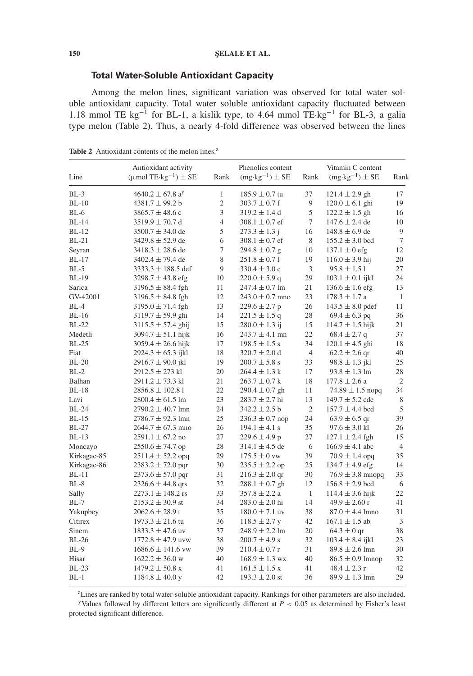### **Total Water-Soluble Antioxidant Capacity**

Among the melon lines, significant variation was observed for total water soluble antioxidant capacity. Total water soluble antioxidant capacity fluctuated between 1.18 mmol TE kg<sup>-1</sup> for BL-1, a kislik type, to 4.64 mmol TE·kg<sup>-1</sup> for BL-3, a galia type melon (Table 2). Thus, a nearly 4-fold difference was observed between the lines

| Line         | Antioxidant activity<br>$(\mu \text{mol TE-kg}^{-1}) \pm \text{SE}$ | Rank           | Phenolics content<br>$(mg \cdot kg^{-1}) \pm SE$ | Rank           | Vitamin C content<br>$(mg \cdot kg^{-1}) \pm SE$ | Rank           |
|--------------|---------------------------------------------------------------------|----------------|--------------------------------------------------|----------------|--------------------------------------------------|----------------|
| $BL-3$       | $4640.2 \pm 67.8$ a <sup>y</sup>                                    | $\mathbf{1}$   | $185.9 \pm 0.7$ tu                               | 37             | $121.4 \pm 2.9$ gh                               | 17             |
| $BL-10$      | $4381.7 \pm 99.2 b$                                                 | $\overline{c}$ | $303.7 \pm 0.7$ f                                | 9              | $120.0 \pm 6.1$ ghi                              | 19             |
| BL-6         | $3865.7 \pm 48.6$ c                                                 | 3              | $319.2 \pm 1.4$ d                                | 5              | $122.2 \pm 1.5$ gh                               | 16             |
| $BL-14$      | $3519.9 \pm 70.7$ d                                                 | $\overline{4}$ | 308.1 $\pm$ 0.7 ef                               | $\overline{7}$ | $147.6 \pm 2.4$ de                               | 10             |
| $BL-12$      | $3500.7 \pm 34.0$ de                                                | 5              | $273.3 \pm 1.3$ j                                | 16             | $148.8 \pm 6.9$ de                               | 9              |
| $BL-21$      | $3429.8 \pm 52.9$ de                                                | 6              | $308.1 \pm 0.7$ ef                               | 8              | $155.2 \pm 3.0$ bcd                              | $\tau$         |
| Seyran       | $3418.3 \pm 28.6$ de                                                | $\tau$         | $294.8 \pm 0.7$ g                                | 10             | $137.1 \pm 0$ efg                                | 12             |
| $BL-17$      | $3402.4 \pm 79.4$ de                                                | 8              | $251.8 \pm 0.71$                                 | 19             | $116.0 \pm 3.9 \text{ hij}$                      | 20             |
| $BL-5$       | $3333.3 \pm 188.5$ def                                              | 9              | $330.4 \pm 3.0$ c                                | 3              | $95.8 \pm 1.51$                                  | 27             |
| <b>BL-19</b> | $3298.7 \pm 43.8$ efg                                               | 10             | $220.0 \pm 5.9$ q                                | 29             | $103.1 \pm 0.1$ ijkl                             | 24             |
| Sarica       | $3196.5 \pm 88.4$ fgh                                               | 11             | $247.4 \pm 0.7$ lm                               | 21             | $136.6 \pm 1.6$ efg                              | 13             |
| GV-42001     | 3196.5 $\pm$ 84.8 fgh                                               | 12             | $243.0 \pm 0.7$ mno                              | 23             | $178.3 \pm 1.7$ a                                | 1              |
| $BL-4$       | $3195.0 \pm 71.4$ fgh                                               | 13             | $229.6 \pm 2.7$ p                                | 26             | $143.5 \pm 8.0$ pdef                             | 11             |
| $BL-16$      | $3119.7 \pm 59.9$ ghi                                               | 14             | $221.5 \pm 1.5$ q                                | 28             | $69.4 \pm 6.3$ pq                                | 36             |
| $BL-22$      | $3115.5 \pm 57.4$ ghij                                              | 15             | $280.0 \pm 1.3$ ij                               | 15             | $114.7 \pm 1.5$ hijk                             | 21             |
| Medetli      | $3094.7 \pm 51.1$ hijk                                              | 16             | $243.7 \pm 4.1$ mn                               | 22             | $68.4 \pm 2.7$ q                                 | 37             |
| <b>BL-25</b> | $3059.4 \pm 26.6$ hijk                                              | 17             | $198.5 \pm 1.5$ s                                | 34             | $120.1 \pm 4.5$ ghi                              | 18             |
| Fiat         | $2924.3 \pm 65.3$ ijkl                                              | 18             | $320.7 \pm 2.0 d$                                | $\overline{4}$ | $62.2 \pm 2.6$ gr                                | 40             |
| $BL-20$      | $2916.7 \pm 90.0$ jkl                                               | 19             | $200.7 \pm 5.8$ s                                | 33             | $98.8 \pm 1.3$ jkl                               | 25             |
| $BL-2$       | $2912.5 \pm 273$ kl                                                 | 20             | $264.4 \pm 1.3 \text{ k}$                        | 17             | $93.8 \pm 1.3$ lm                                | 28             |
| Balhan       | $2911.2 \pm 73.3$ kl                                                | 21             | $263.7 \pm 0.7$ k                                | 18             | $177.8 \pm 2.6$ a                                | $\mathfrak{2}$ |
| $BL-18$      | $2856.8 \pm 102.81$                                                 | 22             | $290.4 \pm 0.7$ gh                               | 11             | $74.89 \pm 1.5$ nopq                             | 34             |
| Lavi         | $2800.4 \pm 61.5$ lm                                                | 23             | $283.7 \pm 2.7$ hi                               | 13             | $149.7 \pm 5.2$ cde                              | 8              |
| <b>BL-24</b> | $2790.2 \pm 40.7$ lmn                                               | 24             | $342.2 \pm 2.5$ b                                | $\overline{c}$ | $157.7 \pm 4.4$ bcd                              | 5              |
| $BL-15$      | $2786.7 \pm 92.3$ lmn                                               | 25             | $236.3 \pm 0.7$ nop                              | 24             | $63.9 \pm 6.5$ gr                                | 39             |
| $BL-27$      | $2644.7 \pm 67.3$ mno                                               | 26             | $194.1 \pm 4.1$ s                                | 35             | $97.6 \pm 3.0$ kl                                | 26             |
| $BL-13$      | $2591.1 \pm 67.2$ no                                                | 27             | $229.6 \pm 4.9$ p                                | 27             | $127.1 \pm 2.4$ fgh                              | 15             |
| Moncayo      | $2550.6 \pm 74.7$ op                                                | 28             | $314.1 \pm 4.5$ de                               | 6              | $166.9 \pm 4.1$ abc                              | $\overline{4}$ |
| Kirkagac-85  | $2511.4 \pm 52.2$ opq                                               | 29             | $175.5 \pm 0$ vw                                 | 39             | $70.9 \pm 1.4$ opq                               | 35             |
| Kirkagac-86  | $2383.2 \pm 72.0$ pqr                                               | 30             | $235.5 \pm 2.2$ op                               | 25             | $134.7 \pm 4.9$ efg                              | 14             |
| $BL-11$      | $2373.6 \pm 57.0$ pqr                                               | 31             | $216.3 \pm 2.0$ qr                               | 30             | $76.9 \pm 3.8$ mnopq                             | 33             |
| $BL-8$       | $2326.6 \pm 44.8$ qrs                                               | 32             | $288.1 \pm 0.7$ gh                               | 12             | $156.8 \pm 2.9$ bcd                              | 6              |
| Sally        | $2273.1 \pm 148.2$ rs                                               | 33             | $357.8 \pm 2.2 a$                                | $\mathbf{1}$   | $114.4 \pm 3.6$ hijk                             | 22             |
| $BL-7$       | $2153.2 \pm 30.9$ st                                                | 34             | $283.0 \pm 2.0$ hi                               | 14             | $49.9 \pm 2.60$ r                                | 41             |
| Yakupbey     | $2062.6 \pm 28.9$ t                                                 | 35             | $180.0 \pm 7.1$ uv                               | 38             | $87.0 \pm 4.4$ lmno                              | 31             |
| Citirex      | $1973.3 \pm 21.6$ tu                                                | 36             | $118.5 \pm 2.7$ y                                | 42             | $167.1 \pm 1.5$ ab                               | 3              |
| Sinem        | $1833.3 \pm 47.6$ uv                                                | 37             | $248.9 \pm 2.2$ lm                               | 20             | $64.3 \pm 0$ qr                                  | 38             |
| <b>BL-26</b> | $1772.8 \pm 47.9$ uvw                                               | 38             | $200.7 \pm 4.9$ s                                | 32             | $103.4 \pm 8.4$ ijkl                             | 23             |
| $BL-9$       | $1686.6 \pm 141.6$ vw                                               | 39             | $210.4 \pm 0.7$ r                                | 31             | $89.8 \pm 2.6$ lmn                               | 30             |
| Hisar        | $1622.2 \pm 36.0 \text{ w}$                                         | 40             | $168.9 \pm 1.3$ wx                               | 40             | $86.5 \pm 0.9$ lmnop                             | 32             |
| <b>BL-23</b> | $1479.2 \pm 50.8$ x                                                 | 41             | $161.5 \pm 1.5 \text{ x}$                        | 41             | $48.4 \pm 2.3$ r                                 | 42             |
| $BL-1$       | $1184.8 \pm 40.0$ y                                                 | 42             | $193.3 \pm 2.0$ st                               | 36             | $89.9 \pm 1.3$ lmn                               | 29             |

Table 2 Antioxidant contents of the melon lines.<sup>z</sup>

<sup>z</sup>Lines are ranked by total water-soluble antioxidant capacity. Rankings for other parameters are also included. yValues followed by different letters are significantly different at *P* < 0.05 as determined by Fisher's least protected significant difference.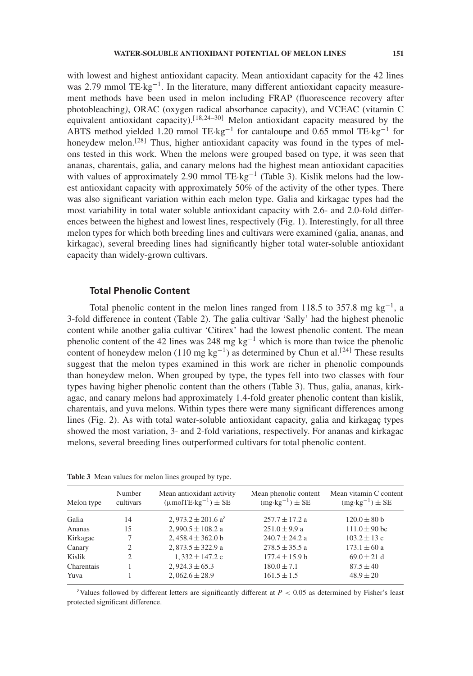with lowest and highest antioxidant capacity. Mean antioxidant capacity for the 42 lines was 2.79 mmol TE·kg<sup>-1</sup>. In the literature, many different antioxidant capacity measurement methods have been used in melon including FRAP (fluorescence recovery after photobleaching*)*, ORAC (oxygen radical absorbance capacity), and VCEAC (vitamin C equivalent antioxidant capacity).<sup>[18,24–30]</sup> Melon antioxidant capacity measured by the ABTS method yielded 1.20 mmol TE·kg−<sup>1</sup> for cantaloupe and 0.65 mmol TE·kg−<sup>1</sup> for honeydew melon.<sup>[28]</sup> Thus, higher antioxidant capacity was found in the types of melons tested in this work. When the melons were grouped based on type, it was seen that ananas, charentais, galia, and canary melons had the highest mean antioxidant capacities with values of approximately 2.90 mmol TE·kg<sup>-1</sup> (Table 3). Kislik melons had the lowest antioxidant capacity with approximately 50% of the activity of the other types. There was also significant variation within each melon type. Galia and kirkagac types had the most variability in total water soluble antioxidant capacity with 2.6- and 2.0-fold differences between the highest and lowest lines, respectively (Fig. 1). Interestingly, for all three melon types for which both breeding lines and cultivars were examined (galia, ananas, and kirkagac), several breeding lines had significantly higher total water-soluble antioxidant capacity than widely-grown cultivars.

#### **Total Phenolic Content**

Total phenolic content in the melon lines ranged from 118.5 to 357.8 mg kg<sup>-1</sup>, a 3-fold difference in content (Table 2). The galia cultivar 'Sally' had the highest phenolic content while another galia cultivar 'Citirex' had the lowest phenolic content. The mean phenolic content of the 42 lines was 248 mg kg−<sup>1</sup> which is more than twice the phenolic content of honeydew melon (110 mg kg<sup>-1</sup>) as determined by Chun et al.<sup>[24]</sup> These results suggest that the melon types examined in this work are richer in phenolic compounds than honeydew melon. When grouped by type, the types fell into two classes with four types having higher phenolic content than the others (Table 3). Thus, galia, ananas, kirkagac, and canary melons had approximately 1.4-fold greater phenolic content than kislik, charentais, and yuva melons. Within types there were many significant differences among lines (Fig. 2). As with total water-soluble antioxidant capacity, galia and kirkagaç types showed the most variation, 3- and 2-fold variations, respectively. For ananas and kirkagac melons, several breeding lines outperformed cultivars for total phenolic content.

| Melon type | Number<br>cultivars | Mean antioxidant activity<br>$(\mu \text{molTE-kg}^{-1}) \pm \text{SE}$ | Mean phenolic content<br>$(mg \cdot kg^{-1}) \pm SE$ | Mean vitamin C content<br>$(mg \cdot kg^{-1}) \pm SE$ |
|------------|---------------------|-------------------------------------------------------------------------|------------------------------------------------------|-------------------------------------------------------|
| Galia      | 14                  | 2, 973.2 $\pm$ 201.6 a <sup>z</sup>                                     | $257.7 \pm 17.2$ a                                   | $120.0 \pm 80$ b                                      |
| Ananas     | 15                  | $2,990.5 \pm 108.2$ a                                                   | $251.0 \pm 9.9$ a                                    | $111.0 \pm 90$ bc                                     |
| Kirkagac   |                     | 2, $458.4 \pm 362.0$ b                                                  | $240.7 \pm 24.2$ a                                   | $103.2 \pm 13$ c                                      |
| Canary     | 2                   | 2, $873.5 \pm 322.9$ a                                                  | $278.5 \pm 35.5 a$                                   | $173.1 \pm 60$ a                                      |
| Kislik     | 2                   | $1,332 \pm 147.2$ c                                                     | $177.4 \pm 15.9$ b                                   | $69.0 \pm 21 d$                                       |
| Charentais |                     | $2,924.3 \pm 65.3$                                                      | $180.0 \pm 7.1$                                      | $87.5 \pm 40$                                         |
| Yuva       |                     | $2.062.6 \pm 28.9$                                                      | $161.5 \pm 1.5$                                      | $48.9 \pm 20$                                         |
|            |                     |                                                                         |                                                      |                                                       |

**Table 3** Mean values for melon lines grouped by type.

<sup>z</sup>Values followed by different letters are significantly different at  $P < 0.05$  as determined by Fisher's least protected significant difference.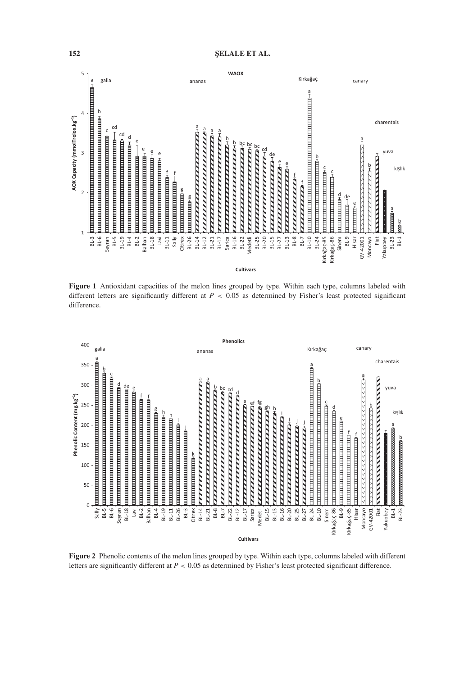

**Figure 1** Antioxidant capacities of the melon lines grouped by type. Within each type, columns labeled with different letters are significantly different at *P* < 0.05 as determined by Fisher's least protected significant difference.



**Figure 2** Phenolic contents of the melon lines grouped by type. Within each type, columns labeled with different letters are significantly different at *P* < 0.05 as determined by Fisher's least protected significant difference.

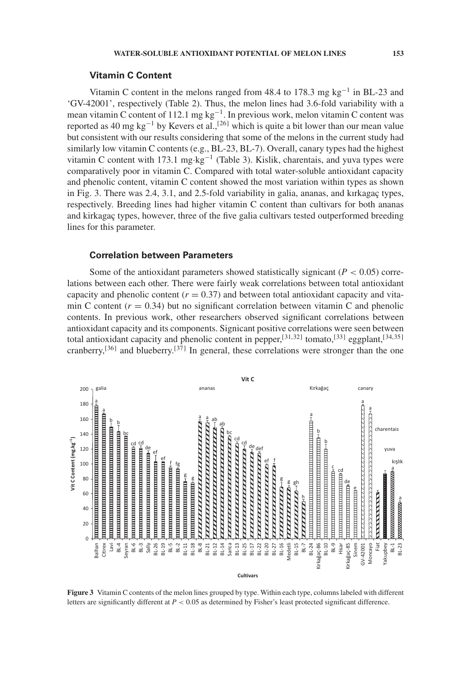### **Vitamin C Content**

Vitamin C content in the melons ranged from 48.4 to 178.3 mg kg<sup>-1</sup> in BL-23 and 'GV-42001', respectively (Table 2). Thus, the melon lines had 3.6-fold variability with a mean vitamin C content of 112.1 mg kg<sup>-1</sup>. In previous work, melon vitamin C content was reported as 40 mg kg<sup>-1</sup> by Kevers et al.,<sup>[26]</sup> which is quite a bit lower than our mean value but consistent with our results considering that some of the melons in the current study had similarly low vitamin C contents (e.g., BL-23, BL-7). Overall, canary types had the highest vitamin C content with 173.1 mg·kg<sup>-1</sup> (Table 3). Kislik, charentais, and yuva types were comparatively poor in vitamin C. Compared with total water-soluble antioxidant capacity and phenolic content, vitamin C content showed the most variation within types as shown in Fig. 3. There was 2.4, 3.1, and 2.5-fold variability in galia, ananas, and kırkagaç types, respectively. Breeding lines had higher vitamin C content than cultivars for both ananas and kirkagaç types, however, three of the five galia cultivars tested outperformed breeding lines for this parameter.

### **Correlation between Parameters**

Some of the antioxidant parameters showed statistically signicant  $(P < 0.05)$  correlations between each other. There were fairly weak correlations between total antioxidant capacity and phenolic content  $(r = 0.37)$  and between total antioxidant capacity and vitamin C content  $(r = 0.34)$  but no significant correlation between vitamin C and phenolic contents. In previous work, other researchers observed significant correlations between antioxidant capacity and its components. Signicant positive correlations were seen between total antioxidant capacity and phenolic content in pepper,<sup>[31,32]</sup> tomato,<sup>[33]</sup> eggplant,<sup>[34,35]</sup> cranberry,<sup>[36]</sup> and blueberry.<sup>[37]</sup> In general, these correlations were stronger than the one



**Figure 3** Vitamin C contents of the melon lines grouped by type. Within each type, columns labeled with different letters are significantly different at *P* < 0.05 as determined by Fisher's least protected significant difference.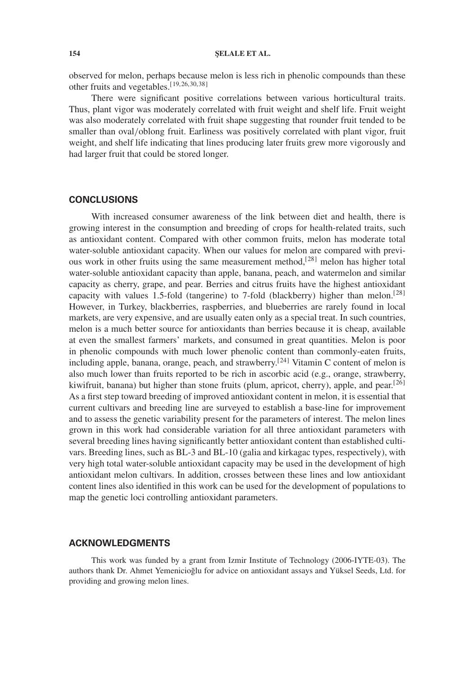observed for melon, perhaps because melon is less rich in phenolic compounds than these other fruits and vegetables.[19,26,30,38]

There were significant positive correlations between various horticultural traits. Thus, plant vigor was moderately correlated with fruit weight and shelf life. Fruit weight was also moderately correlated with fruit shape suggesting that rounder fruit tended to be smaller than oval/oblong fruit. Earliness was positively correlated with plant vigor, fruit weight, and shelf life indicating that lines producing later fruits grew more vigorously and had larger fruit that could be stored longer.

### **CONCLUSIONS**

With increased consumer awareness of the link between diet and health, there is growing interest in the consumption and breeding of crops for health-related traits, such as antioxidant content. Compared with other common fruits, melon has moderate total water-soluble antioxidant capacity. When our values for melon are compared with previous work in other fruits using the same measurement method,<sup>[28]</sup> melon has higher total water-soluble antioxidant capacity than apple, banana, peach, and watermelon and similar capacity as cherry, grape, and pear. Berries and citrus fruits have the highest antioxidant capacity with values 1.5-fold (tangerine) to 7-fold (blackberry) higher than melon.<sup>[28]</sup> However, in Turkey, blackberries, raspberries, and blueberries are rarely found in local markets, are very expensive, and are usually eaten only as a special treat. In such countries, melon is a much better source for antioxidants than berries because it is cheap, available at even the smallest farmers' markets, and consumed in great quantities. Melon is poor in phenolic compounds with much lower phenolic content than commonly-eaten fruits, including apple, banana, orange, peach, and strawberry.<sup>[24]</sup> Vitamin C content of melon is also much lower than fruits reported to be rich in ascorbic acid (e.g., orange, strawberry, kiwifruit, banana) but higher than stone fruits (plum, apricot, cherry), apple, and pear.<sup>[26]</sup> As a first step toward breeding of improved antioxidant content in melon, it is essential that current cultivars and breeding line are surveyed to establish a base-line for improvement and to assess the genetic variability present for the parameters of interest. The melon lines grown in this work had considerable variation for all three antioxidant parameters with several breeding lines having significantly better antioxidant content than established cultivars. Breeding lines, such as BL-3 and BL-10 (galia and kirkagac types, respectively), with very high total water-soluble antioxidant capacity may be used in the development of high antioxidant melon cultivars. In addition, crosses between these lines and low antioxidant content lines also identified in this work can be used for the development of populations to map the genetic loci controlling antioxidant parameters.

### **ACKNOWLEDGMENTS**

This work was funded by a grant from Izmir Institute of Technology (2006-IYTE-03). The authors thank Dr. Ahmet Yemenicioglu for advice on antioxidant assays and Yüksel Seeds, Ltd. for ˘ providing and growing melon lines.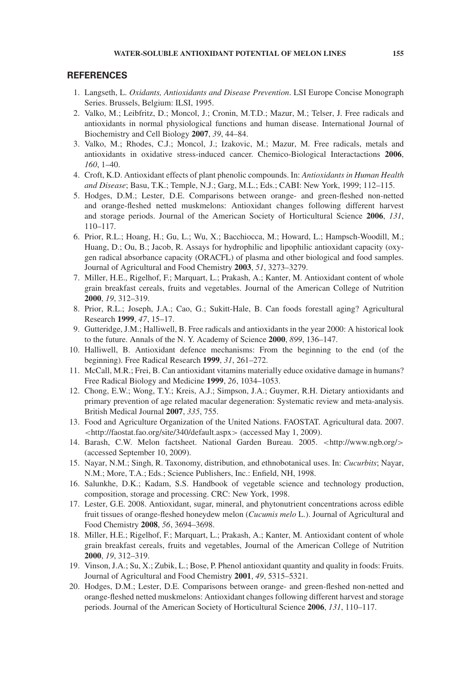### **REFERENCES**

- 1. Langseth, L. *Oxidants, Antioxidants and Disease Prevention*. LSI Europe Concise Monograph Series. Brussels, Belgium: ILSI, 1995.
- 2. Valko, M.; Leibfritz, D.; Moncol, J.; Cronin, M.T.D.; Mazur, M.; Telser, J. Free radicals and antioxidants in normal physiological functions and human disease. International Journal of Biochemistry and Cell Biology **2007**, *39*, 44–84.
- 3. Valko, M.; Rhodes, C.J.; Moncol, J.; Izakovic, M.; Mazur, M. Free radicals, metals and antioxidants in oxidative stress-induced cancer. Chemico-Biological Interactactions **2006**, *160*, 1–40.
- 4. Croft, K.D. Antioxidant effects of plant phenolic compounds. In: *Antioxidants in Human Health and Disease*; Basu, T.K.; Temple, N.J.; Garg, M.L.; Eds.; CABI: New York, 1999; 112–115.
- 5. Hodges, D.M.; Lester, D.E. Comparisons between orange- and green-fleshed non-netted and orange-fleshed netted muskmelons: Antioxidant changes following different harvest and storage periods. Journal of the American Society of Horticultural Science **2006**, *131*, 110–117.
- 6. Prior, R.L.; Hoang, H.; Gu, L.; Wu, X.; Bacchiocca, M.; Howard, L.; Hampsch-Woodill, M.; Huang, D.; Ou, B.; Jacob, R. Assays for hydrophilic and lipophilic antioxidant capacity (oxygen radical absorbance capacity (ORACFL) of plasma and other biological and food samples. Journal of Agricultural and Food Chemistry **2003**, *51*, 3273–3279.
- 7. Miller, H.E., Rigelhof, F.; Marquart, L.; Prakash, A.; Kanter, M. Antioxidant content of whole grain breakfast cereals, fruits and vegetables. Journal of the American College of Nutrition **2000**, *19*, 312–319.
- 8. Prior, R.L.; Joseph, J.A.; Cao, G.; Sukitt-Hale, B. Can foods forestall aging? Agricultural Research **1999**, *47*, 15–17.
- 9. Gutteridge, J.M.; Halliwell, B. Free radicals and antioxidants in the year 2000: A historical look to the future. Annals of the N. Y. Academy of Science **2000**, *899*, 136–147.
- 10. Halliwell, B. Antioxidant defence mechanisms: From the beginning to the end (of the beginning). Free Radical Research **1999**, *31*, 261–272.
- 11. McCall, M.R.; Frei, B. Can antioxidant vitamins materially educe oxidative damage in humans? Free Radical Biology and Medicine **1999**, *26*, 1034–1053.
- 12. Chong, E.W.; Wong, T.Y.; Kreis, A.J.; Simpson, J.A.; Guymer, R.H. Dietary antioxidants and primary prevention of age related macular degeneration: Systematic review and meta-analysis. British Medical Journal **2007**, *335*, 755.
- 13. Food and Agriculture Organization of the United Nations. FAOSTAT. Agricultural data. 2007. <http://faostat.fao.org/site/340/default.aspx> (accessed May 1, 2009).
- 14. Barash, C.W. Melon factsheet. National Garden Bureau. 2005. <http://www.ngb.org/> (accessed September 10, 2009).
- 15. Nayar, N.M.; Singh, R. Taxonomy, distribution, and ethnobotanical uses. In: *Cucurbits*; Nayar, N.M.; More, T.A.; Eds.; Science Publishers, Inc.: Enfield, NH, 1998.
- 16. Salunkhe, D.K.; Kadam, S.S. Handbook of vegetable science and technology production, composition, storage and processing. CRC: New York, 1998.
- 17. Lester, G.E. 2008. Antioxidant, sugar, mineral, and phytonutrient concentrations across edible fruit tissues of orange-fleshed honeydew melon (*Cucumis melo* L.). Journal of Agricultural and Food Chemistry **2008**, *56*, 3694–3698.
- 18. Miller, H.E.; Rigelhof, F.; Marquart, L.; Prakash, A.; Kanter, M. Antioxidant content of whole grain breakfast cereals, fruits and vegetables, Journal of the American College of Nutrition **2000**, *19*, 312–319.
- 19. Vinson, J.A.; Su, X.; Zubik, L.; Bose, P. Phenol antioxidant quantity and quality in foods: Fruits. Journal of Agricultural and Food Chemistry **2001**, *49*, 5315–5321.
- 20. Hodges, D.M.; Lester, D.E. Comparisons between orange- and green-fleshed non-netted and orange-fleshed netted muskmelons: Antioxidant changes following different harvest and storage periods. Journal of the American Society of Horticultural Science **2006**, *131*, 110–117.